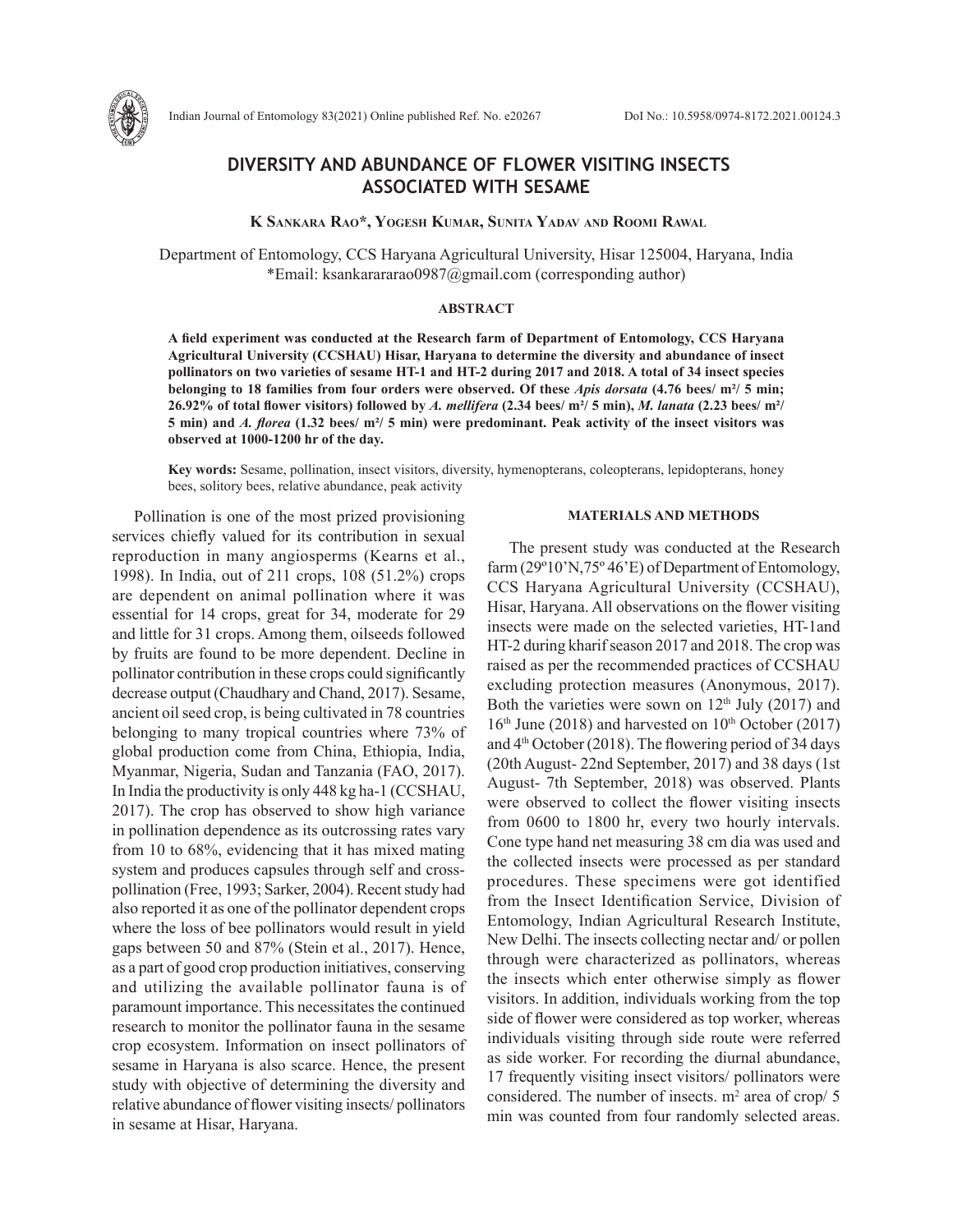

# **DIVERSITY AND ABUNDANCE OF FLOWER VISITING INSECTS ASSOCIATED WITH SESAME**

 **K Sankara Rao\*, Yogesh Kumar, Sunita Yadav and Roomi Rawal**

Department of Entomology, CCS Haryana Agricultural University, Hisar 125004, Haryana, India \*Email: ksankarararao0987@gmail.com (corresponding author)

### **ABSTRACT**

**A field experiment was conducted at the Research farm of Department of Entomology, CCS Haryana Agricultural University (CCSHAU) Hisar, Haryana to determine the diversity and abundance of insect pollinators on two varieties of sesame HT-1 and HT-2 during 2017 and 2018. A total of 34 insect species belonging to 18 families from four orders were observed. Of these** *Apis dorsata* **(4.76 bees/ m²/ 5 min; 26.92% of total flower visitors) followed by** *A. mellifera* **(2.34 bees/ m²/ 5 min),** *M. lanata* **(2.23 bees/ m²/ 5 min) and** *A. florea* **(1.32 bees/ m²/ 5 min) were predominant. Peak activity of the insect visitors was observed at 1000-1200 hr of the day.**

**Key words:** Sesame, pollination, insect visitors, diversity, hymenopterans, coleopterans, lepidopterans, honey bees, solitory bees, relative abundance, peak activity

Pollination is one of the most prized provisioning services chiefly valued for its contribution in sexual reproduction in many angiosperms (Kearns et al., 1998). In India, out of 211 crops, 108 (51.2%) crops are dependent on animal pollination where it was essential for 14 crops, great for 34, moderate for 29 and little for 31 crops. Among them, oilseeds followed by fruits are found to be more dependent. Decline in pollinator contribution in these crops could significantly decrease output (Chaudhary and Chand, 2017). Sesame, ancient oil seed crop, is being cultivated in 78 countries belonging to many tropical countries where 73% of global production come from China, Ethiopia, India, Myanmar, Nigeria, Sudan and Tanzania (FAO, 2017). In India the productivity is only 448 kg ha-1 (CCSHAU, 2017). The crop has observed to show high variance in pollination dependence as its outcrossing rates vary from 10 to 68%, evidencing that it has mixed mating system and produces capsules through self and crosspollination (Free, 1993; Sarker, 2004). Recent study had also reported it as one of the pollinator dependent crops where the loss of bee pollinators would result in yield gaps between 50 and 87% (Stein et al., 2017). Hence, as a part of good crop production initiatives, conserving and utilizing the available pollinator fauna is of paramount importance. This necessitates the continued research to monitor the pollinator fauna in the sesame crop ecosystem. Information on insect pollinators of sesame in Haryana is also scarce. Hence, the present study with objective of determining the diversity and relative abundance of flower visiting insects/ pollinators in sesame at Hisar, Haryana.

## **MATERIALS AND METHODS**

The present study was conducted at the Research farm (29º10'N,75º 46'E) of Department of Entomology, CCS Haryana Agricultural University (CCSHAU), Hisar, Haryana. All observations on the flower visiting insects were made on the selected varieties, HT-1and HT-2 during kharif season 2017 and 2018. The crop was raised as per the recommended practices of CCSHAU excluding protection measures (Anonymous, 2017). Both the varieties were sown on  $12<sup>th</sup>$  July (2017) and  $16<sup>th</sup>$  June (2018) and harvested on  $10<sup>th</sup>$  October (2017) and 4<sup>th</sup> October (2018). The flowering period of 34 days (20th August- 22nd September, 2017) and 38 days (1st August- 7th September, 2018) was observed. Plants were observed to collect the flower visiting insects from 0600 to 1800 hr, every two hourly intervals. Cone type hand net measuring 38 cm dia was used and the collected insects were processed as per standard procedures. These specimens were got identified from the Insect Identification Service, Division of Entomology, Indian Agricultural Research Institute, New Delhi. The insects collecting nectar and/ or pollen through were characterized as pollinators, whereas the insects which enter otherwise simply as flower visitors. In addition, individuals working from the top side of flower were considered as top worker, whereas individuals visiting through side route were referred as side worker. For recording the diurnal abundance, 17 frequently visiting insect visitors/ pollinators were considered. The number of insects.  $m<sup>2</sup>$  area of crop/ 5 min was counted from four randomly selected areas.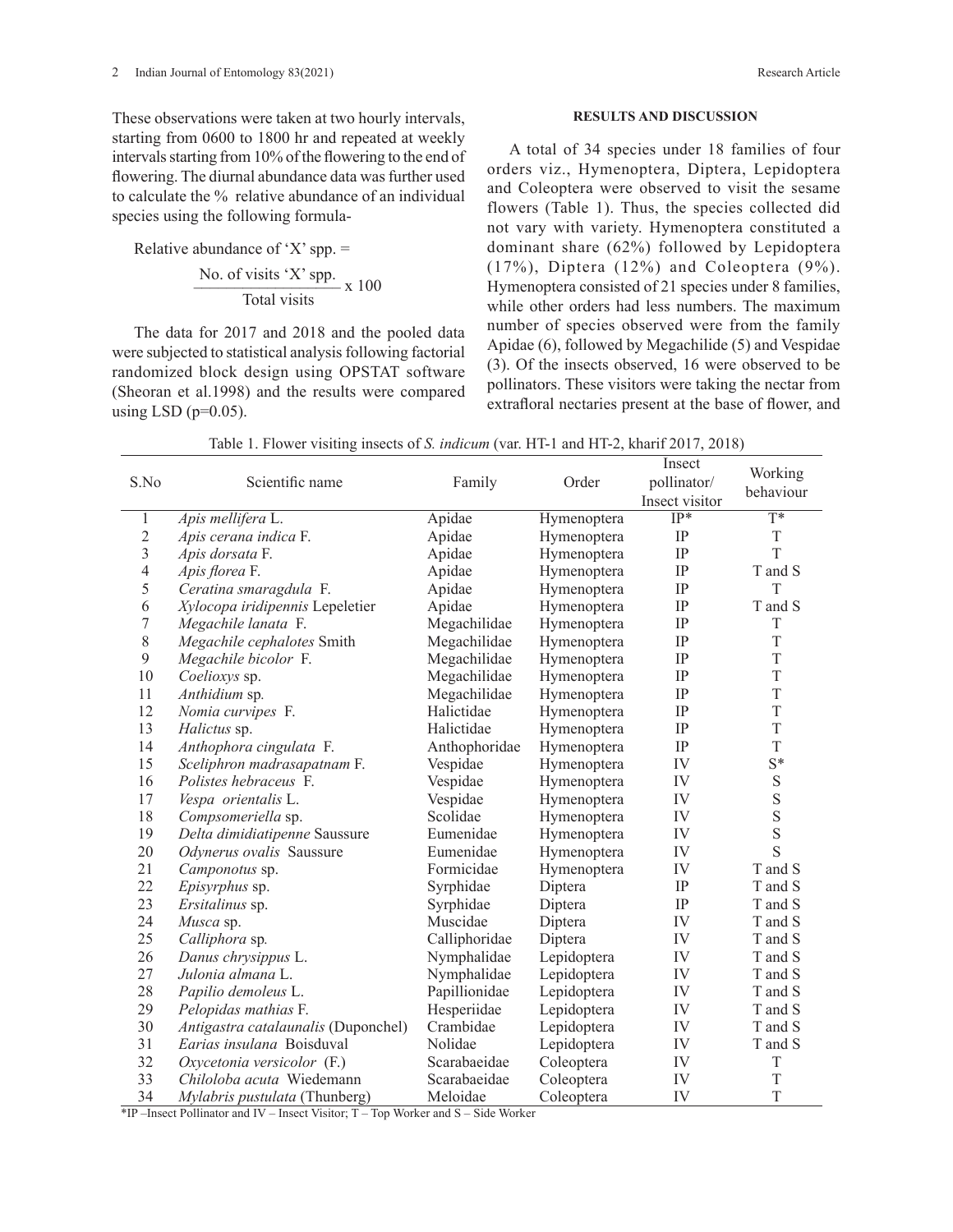These observations were taken at two hourly intervals, starting from 0600 to 1800 hr and repeated at weekly intervals starting from 10% of the flowering to the end of flowering. The diurnal abundance data was further used to calculate the % relative abundance of an individual species using the following formula-

Relative abundance of 'X' spp.  $=$ No. of visits 'X' spp.<br>Total visits  $x$  100

The data for 2017 and 2018 and the pooled data were subjected to statistical analysis following factorial randomized block design using OPSTAT software (Sheoran et al.1998) and the results were compared using LSD ( $p=0.05$ ).

### **RESULTS AND DISCUSSION**

A total of 34 species under 18 families of four orders viz., Hymenoptera, Diptera, Lepidoptera and Coleoptera were observed to visit the sesame flowers (Table 1). Thus, the species collected did not vary with variety. Hymenoptera constituted a dominant share (62%) followed by Lepidoptera  $(17\%)$ , Diptera  $(12\%)$  and Coleoptera  $(9\%)$ . Hymenoptera consisted of 21 species under 8 families, while other orders had less numbers. The maximum number of species observed were from the family Apidae (6), followed by Megachilide (5) and Vespidae (3). Of the insects observed, 16 were observed to be pollinators. These visitors were taking the nectar from extrafloral nectaries present at the base of flower, and

| S.No           | Scientific name                     | Family        | Order       | Insect<br>pollinator/<br>Insect visitor | Working<br>behaviour |
|----------------|-------------------------------------|---------------|-------------|-----------------------------------------|----------------------|
| 1              | Apis mellifera L.                   | Apidae        | Hymenoptera | $IP*$                                   | $\overline{T^*}$     |
| $\overline{c}$ | Apis cerana indica F.               | Apidae        | Hymenoptera | IP                                      | $\mathbf T$          |
| $\overline{3}$ | Apis dorsata F.                     | Apidae        | Hymenoptera | IP                                      | T                    |
| $\overline{4}$ | Apis florea F.                      | Apidae        | Hymenoptera | IP                                      | T and S              |
| 5              | Ceratina smaragdula F.              | Apidae        | Hymenoptera | IP                                      | T                    |
| 6              | Xylocopa iridipennis Lepeletier     | Apidae        | Hymenoptera | IP                                      | T and S              |
| 7              | Megachile lanata F.                 | Megachilidae  | Hymenoptera | IP                                      | T                    |
| 8              | Megachile cephalotes Smith          | Megachilidae  | Hymenoptera | IP                                      | T                    |
| 9              | Megachile bicolor F.                | Megachilidae  | Hymenoptera | IP                                      | T                    |
| 10             | Coelioxys sp.                       | Megachilidae  | Hymenoptera | IP                                      | $\mathbf T$          |
| 11             | Anthidium sp.                       | Megachilidae  | Hymenoptera | IP                                      | $\mathbf T$          |
| 12             | Nomia curvipes F.                   | Halictidae    | Hymenoptera | IP                                      | T                    |
| 13             | Halictus sp.                        | Halictidae    | Hymenoptera | IP                                      | $\mathbf T$          |
| 14             | Anthophora cingulata F.             | Anthophoridae | Hymenoptera | IP                                      | $\overline{T}$       |
| 15             | Sceliphron madrasapatnam F.         | Vespidae      | Hymenoptera | IV                                      | $S^*$                |
| 16             | <i>Polistes hebraceus</i> F.        | Vespidae      | Hymenoptera | IV                                      | S                    |
| 17             | Vespa orientalis L.                 | Vespidae      | Hymenoptera | IV                                      |                      |
| 18             | Compsomeriella sp.                  | Scolidae      | Hymenoptera | IV                                      | $S_S$                |
| 19             | Delta dimidiatipenne Saussure       | Eumenidae     | Hymenoptera | IV                                      |                      |
| 20             | Odynerus ovalis Saussure            | Eumenidae     | Hymenoptera | IV                                      | S                    |
| 21             | Camponotus sp.                      | Formicidae    | Hymenoptera | IV                                      | T and S              |
| 22             | Episyrphus sp.                      | Syrphidae     | Diptera     | IP                                      | T and S              |
| 23             | Ersitalinus sp.                     | Syrphidae     | Diptera     | IP                                      | T and S              |
| 24             | Musca sp.                           | Muscidae      | Diptera     | IV                                      | T and S              |
| 25             | Calliphora sp.                      | Calliphoridae | Diptera     | IV                                      | T and S              |
| 26             | Danus chrysippus L.                 | Nymphalidae   | Lepidoptera | IV                                      | T and S              |
| 27             | Julonia almana L.                   | Nymphalidae   | Lepidoptera | IV                                      | T and S              |
| 28             | Papilio demoleus L.                 | Papillionidae | Lepidoptera | IV                                      | T and S              |
| 29             | Pelopidas mathias F.                | Hesperiidae   | Lepidoptera | IV                                      | T and S              |
| 30             | Antigastra catalaunalis (Duponchel) | Crambidae     | Lepidoptera | IV                                      | T and S              |
| 31             | Earias insulana Boisduval           | Nolidae       | Lepidoptera | IV                                      | T and S              |
| 32             | Oxycetonia versicolor (F.)          | Scarabaeidae  | Coleoptera  | IV                                      | $\mathbf T$          |
| 33             | Chiloloba acuta Wiedemann           | Scarabaeidae  | Coleoptera  | IV                                      | $\mathbf T$          |
| 34             | Mylabris pustulata (Thunberg)       | Meloidae      | Coleoptera  | IV                                      | T                    |

Table 1. Flower visiting insects of *S. indicum* (var. HT-1 and HT-2, kharif 2017, 2018)

\*IP –Insect Pollinator and IV – Insect Visitor; T – Top Worker and S – Side Worker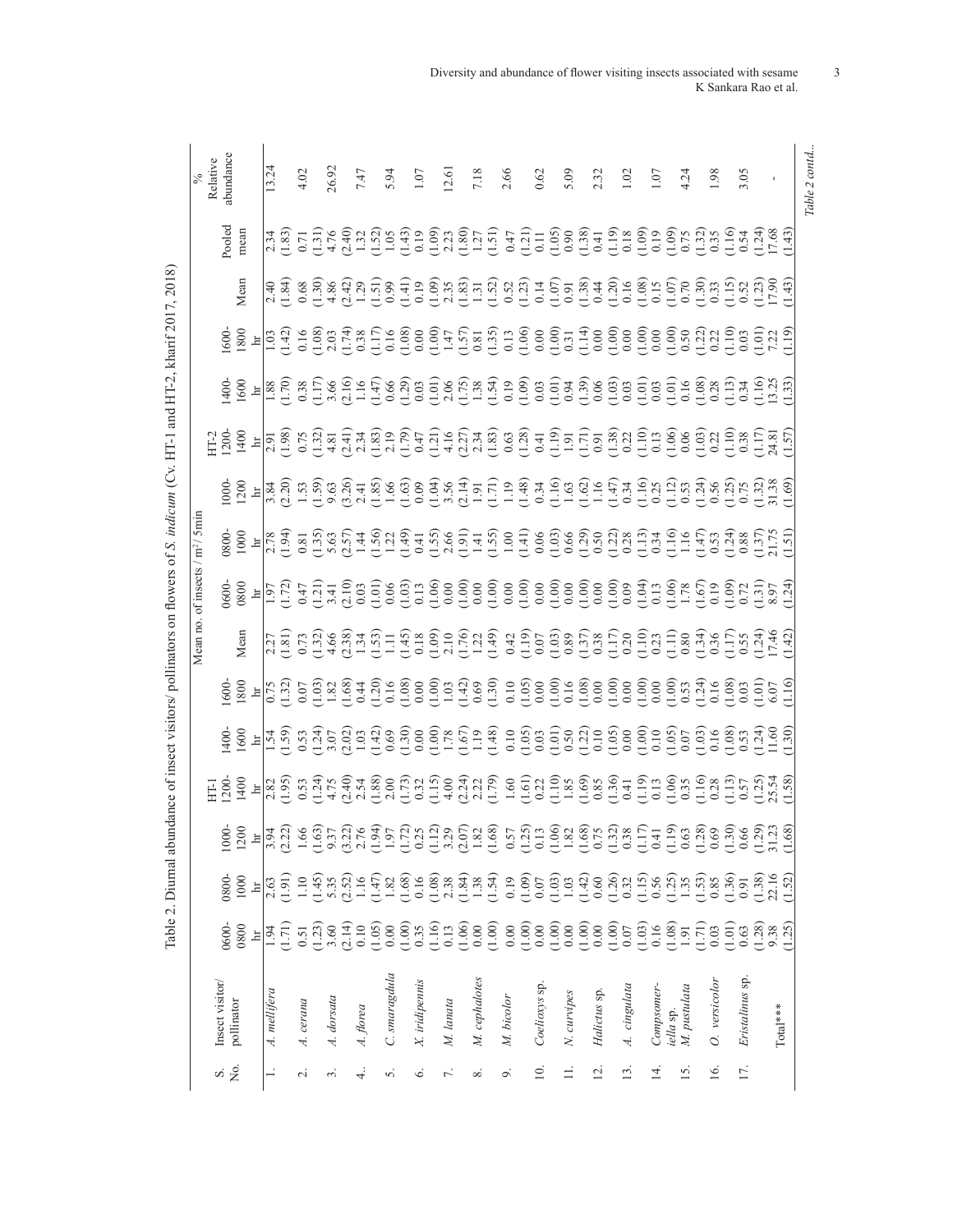|                   |                |       |                                                                                                                                                                                                                                                                                             |                                                                                                                                                                                                                                                                                                                                    |                                                                                                                                                                                                                                                                                                                     | Vlean |  |                                                                                                                                                                                                                                                                                                                                                                                                                                                                                               |                                                                                                                                                                                                                                                                                                                     |      |       |                      |
|-------------------|----------------|-------|---------------------------------------------------------------------------------------------------------------------------------------------------------------------------------------------------------------------------------------------------------------------------------------------|------------------------------------------------------------------------------------------------------------------------------------------------------------------------------------------------------------------------------------------------------------------------------------------------------------------------------------|---------------------------------------------------------------------------------------------------------------------------------------------------------------------------------------------------------------------------------------------------------------------------------------------------------------------|-------|--|-----------------------------------------------------------------------------------------------------------------------------------------------------------------------------------------------------------------------------------------------------------------------------------------------------------------------------------------------------------------------------------------------------------------------------------------------------------------------------------------------|---------------------------------------------------------------------------------------------------------------------------------------------------------------------------------------------------------------------------------------------------------------------------------------------------------------------|------|-------|----------------------|
|                   |                |       |                                                                                                                                                                                                                                                                                             |                                                                                                                                                                                                                                                                                                                                    |                                                                                                                                                                                                                                                                                                                     |       |  |                                                                                                                                                                                                                                                                                                                                                                                                                                                                                               |                                                                                                                                                                                                                                                                                                                     |      |       |                      |
| Σó,<br>s          | nsect visitor/ | )600- | 008                                                                                                                                                                                                                                                                                         |                                                                                                                                                                                                                                                                                                                                    |                                                                                                                                                                                                                                                                                                                     |       |  |                                                                                                                                                                                                                                                                                                                                                                                                                                                                                               |                                                                                                                                                                                                                                                                                                                     |      | boled | Relative<br>bundance |
|                   | pollinator     | 0800  | 1000                                                                                                                                                                                                                                                                                        |                                                                                                                                                                                                                                                                                                                                    |                                                                                                                                                                                                                                                                                                                     | Mean  |  |                                                                                                                                                                                                                                                                                                                                                                                                                                                                                               |                                                                                                                                                                                                                                                                                                                     | Vean |       |                      |
|                   | A. mellifera   |       |                                                                                                                                                                                                                                                                                             |                                                                                                                                                                                                                                                                                                                                    |                                                                                                                                                                                                                                                                                                                     |       |  |                                                                                                                                                                                                                                                                                                                                                                                                                                                                                               |                                                                                                                                                                                                                                                                                                                     |      |       | 13.24                |
|                   |                |       | $\frac{2.63}{(1.91)}$                                                                                                                                                                                                                                                                       |                                                                                                                                                                                                                                                                                                                                    |                                                                                                                                                                                                                                                                                                                     |       |  |                                                                                                                                                                                                                                                                                                                                                                                                                                                                                               |                                                                                                                                                                                                                                                                                                                     |      |       |                      |
| $\sim$            | A. cerana      |       |                                                                                                                                                                                                                                                                                             |                                                                                                                                                                                                                                                                                                                                    |                                                                                                                                                                                                                                                                                                                     |       |  |                                                                                                                                                                                                                                                                                                                                                                                                                                                                                               |                                                                                                                                                                                                                                                                                                                     |      |       | 4.02                 |
|                   |                |       |                                                                                                                                                                                                                                                                                             |                                                                                                                                                                                                                                                                                                                                    |                                                                                                                                                                                                                                                                                                                     |       |  |                                                                                                                                                                                                                                                                                                                                                                                                                                                                                               |                                                                                                                                                                                                                                                                                                                     |      |       |                      |
| m                 | A. dorsata     |       |                                                                                                                                                                                                                                                                                             |                                                                                                                                                                                                                                                                                                                                    |                                                                                                                                                                                                                                                                                                                     |       |  |                                                                                                                                                                                                                                                                                                                                                                                                                                                                                               |                                                                                                                                                                                                                                                                                                                     |      |       |                      |
|                   |                |       |                                                                                                                                                                                                                                                                                             |                                                                                                                                                                                                                                                                                                                                    |                                                                                                                                                                                                                                                                                                                     |       |  |                                                                                                                                                                                                                                                                                                                                                                                                                                                                                               |                                                                                                                                                                                                                                                                                                                     |      |       | $26.92$<br>7.47      |
| 4                 | A. florea      |       |                                                                                                                                                                                                                                                                                             |                                                                                                                                                                                                                                                                                                                                    |                                                                                                                                                                                                                                                                                                                     |       |  |                                                                                                                                                                                                                                                                                                                                                                                                                                                                                               |                                                                                                                                                                                                                                                                                                                     |      |       |                      |
| n                 | C. smaragdula  |       | $\begin{array}{l} 11.456 \\ 11.476 \\ 13.487 \\ 14.497 \\ 15.408 \\ 16.409 \\ 17.409 \\ 18.409 \\ 19.409 \\ 19.409 \\ 19.409 \\ 19.409 \\ 19.409 \\ 19.409 \\ 19.409 \\ 19.409 \\ 19.409 \\ 19.409 \\ 19.409 \\ 19.409 \\ 19.409 \\ 19.409 \\ 19.409 \\ 19.409 \\ 19.409 \\ 19.409 \\ 19.4$ | $\begin{array}{l} 0 & 0 & 0 \\ 0 & 0 & 0 \\ 0 & 0 & 0 \\ 0 & 0 & 0 \\ 0 & 0 & 0 \\ 0 & 0 & 0 \\ 0 & 0 & 0 \\ 0 & 0 & 0 \\ 0 & 0 & 0 \\ 0 & 0 & 0 \\ 0 & 0 & 0 \\ 0 & 0 & 0 \\ 0 & 0 & 0 \\ 0 & 0 & 0 & 0 \\ 0 & 0 & 0 & 0 \\ 0 & 0 & 0 & 0 \\ 0 & 0 & 0 & 0 \\ 0 & 0 & 0 & 0 & 0 \\ 0 & 0 & 0 & 0 & 0 \\ 0 & 0 & 0 & 0 & 0 \\ 0 &$ | $\frac{1}{2}$ $\frac{1}{2}$ $\frac{1}{2}$ $\frac{1}{2}$ $\frac{1}{2}$ $\frac{1}{2}$ $\frac{1}{2}$ $\frac{1}{2}$ $\frac{1}{2}$ $\frac{1}{2}$ $\frac{1}{2}$ $\frac{1}{2}$ $\frac{1}{2}$ $\frac{1}{2}$ $\frac{1}{2}$ $\frac{1}{2}$ $\frac{1}{2}$ $\frac{1}{2}$ $\frac{1}{2}$ $\frac{1}{2}$ $\frac{1}{2}$ $\frac{1}{2}$ |       |  | $\begin{array}{l} 0 & 0 & 0 \\ 0 & 0 & 0 \\ \end{array} \begin{array}{l} \mathbb{E} \left[ \begin{array}{cc} \mathbb{E} \left[ \begin{array}{cc} \mathbb{E} \left[ \begin{array}{cc} \mathbb{E} \left[ \begin{array}{cc} \mathbb{E} \left[ \begin{array}{cc} \mathbb{E} \left[ \begin{array}{cc} \mathbb{E} \left[ \begin{array}{c} \mathbb{E} \left[ \begin{array}{c} \mathbb{E} \left[ \begin{array}{c} \mathbb{E} \left[ \begin{array}{c} \mathbb{E} \left[ \begin{array}{c} \mathbb{E} \$ | $\frac{6}{4}$ $\frac{6}{8}$ $\frac{1}{6}$ $\frac{1}{6}$ $\frac{1}{6}$ $\frac{1}{6}$ $\frac{1}{6}$ $\frac{1}{6}$ $\frac{1}{6}$ $\frac{1}{6}$ $\frac{1}{6}$ $\frac{1}{6}$ $\frac{1}{6}$ $\frac{1}{6}$ $\frac{1}{6}$ $\frac{1}{6}$ $\frac{1}{6}$ $\frac{1}{6}$ $\frac{1}{6}$ $\frac{1}{6}$ $\frac{1}{6}$ $\frac{1}{6}$ |      |       | 5.94                 |
| Ó                 | X. iridipennis |       |                                                                                                                                                                                                                                                                                             |                                                                                                                                                                                                                                                                                                                                    |                                                                                                                                                                                                                                                                                                                     |       |  |                                                                                                                                                                                                                                                                                                                                                                                                                                                                                               |                                                                                                                                                                                                                                                                                                                     |      |       | $\overline{0}$       |
|                   |                |       |                                                                                                                                                                                                                                                                                             |                                                                                                                                                                                                                                                                                                                                    |                                                                                                                                                                                                                                                                                                                     |       |  |                                                                                                                                                                                                                                                                                                                                                                                                                                                                                               |                                                                                                                                                                                                                                                                                                                     |      |       |                      |
| 7.                | M. lanata      |       |                                                                                                                                                                                                                                                                                             |                                                                                                                                                                                                                                                                                                                                    |                                                                                                                                                                                                                                                                                                                     |       |  |                                                                                                                                                                                                                                                                                                                                                                                                                                                                                               |                                                                                                                                                                                                                                                                                                                     |      |       | 2.61                 |
|                   |                |       |                                                                                                                                                                                                                                                                                             |                                                                                                                                                                                                                                                                                                                                    |                                                                                                                                                                                                                                                                                                                     |       |  |                                                                                                                                                                                                                                                                                                                                                                                                                                                                                               |                                                                                                                                                                                                                                                                                                                     |      |       |                      |
| ∞ं                | M. cephalotes  |       |                                                                                                                                                                                                                                                                                             |                                                                                                                                                                                                                                                                                                                                    |                                                                                                                                                                                                                                                                                                                     |       |  |                                                                                                                                                                                                                                                                                                                                                                                                                                                                                               |                                                                                                                                                                                                                                                                                                                     |      |       |                      |
|                   |                |       |                                                                                                                                                                                                                                                                                             |                                                                                                                                                                                                                                                                                                                                    |                                                                                                                                                                                                                                                                                                                     |       |  |                                                                                                                                                                                                                                                                                                                                                                                                                                                                                               |                                                                                                                                                                                                                                                                                                                     |      |       |                      |
| $\sigma$          | M. bicolor     |       |                                                                                                                                                                                                                                                                                             |                                                                                                                                                                                                                                                                                                                                    |                                                                                                                                                                                                                                                                                                                     |       |  |                                                                                                                                                                                                                                                                                                                                                                                                                                                                                               |                                                                                                                                                                                                                                                                                                                     |      |       | 7.18                 |
|                   |                |       |                                                                                                                                                                                                                                                                                             |                                                                                                                                                                                                                                                                                                                                    |                                                                                                                                                                                                                                                                                                                     |       |  |                                                                                                                                                                                                                                                                                                                                                                                                                                                                                               |                                                                                                                                                                                                                                                                                                                     |      |       |                      |
| $\overline{10}$ . | Coelioxys sp   |       |                                                                                                                                                                                                                                                                                             |                                                                                                                                                                                                                                                                                                                                    |                                                                                                                                                                                                                                                                                                                     |       |  |                                                                                                                                                                                                                                                                                                                                                                                                                                                                                               |                                                                                                                                                                                                                                                                                                                     |      |       | 0.62                 |
|                   |                |       |                                                                                                                                                                                                                                                                                             |                                                                                                                                                                                                                                                                                                                                    |                                                                                                                                                                                                                                                                                                                     |       |  |                                                                                                                                                                                                                                                                                                                                                                                                                                                                                               |                                                                                                                                                                                                                                                                                                                     |      |       |                      |
|                   | N. curvipes    |       |                                                                                                                                                                                                                                                                                             |                                                                                                                                                                                                                                                                                                                                    |                                                                                                                                                                                                                                                                                                                     |       |  |                                                                                                                                                                                                                                                                                                                                                                                                                                                                                               |                                                                                                                                                                                                                                                                                                                     |      |       | 5.09                 |
| $\overline{c}$    | Halictus sp    |       |                                                                                                                                                                                                                                                                                             |                                                                                                                                                                                                                                                                                                                                    |                                                                                                                                                                                                                                                                                                                     |       |  |                                                                                                                                                                                                                                                                                                                                                                                                                                                                                               |                                                                                                                                                                                                                                                                                                                     |      |       | 2.32                 |
|                   |                |       |                                                                                                                                                                                                                                                                                             |                                                                                                                                                                                                                                                                                                                                    |                                                                                                                                                                                                                                                                                                                     |       |  |                                                                                                                                                                                                                                                                                                                                                                                                                                                                                               |                                                                                                                                                                                                                                                                                                                     |      |       |                      |
| 13.               | A. cingulata   |       |                                                                                                                                                                                                                                                                                             |                                                                                                                                                                                                                                                                                                                                    |                                                                                                                                                                                                                                                                                                                     |       |  |                                                                                                                                                                                                                                                                                                                                                                                                                                                                                               |                                                                                                                                                                                                                                                                                                                     |      |       | $\ddot{\circ}$       |
|                   |                |       |                                                                                                                                                                                                                                                                                             |                                                                                                                                                                                                                                                                                                                                    |                                                                                                                                                                                                                                                                                                                     |       |  |                                                                                                                                                                                                                                                                                                                                                                                                                                                                                               |                                                                                                                                                                                                                                                                                                                     |      |       |                      |
| $\overline{14}$ . | Compsomer      |       |                                                                                                                                                                                                                                                                                             |                                                                                                                                                                                                                                                                                                                                    |                                                                                                                                                                                                                                                                                                                     |       |  |                                                                                                                                                                                                                                                                                                                                                                                                                                                                                               |                                                                                                                                                                                                                                                                                                                     |      |       | $\overline{0}$       |
|                   | iella sp.      |       |                                                                                                                                                                                                                                                                                             |                                                                                                                                                                                                                                                                                                                                    |                                                                                                                                                                                                                                                                                                                     |       |  |                                                                                                                                                                                                                                                                                                                                                                                                                                                                                               |                                                                                                                                                                                                                                                                                                                     |      |       |                      |
| 15.               | M. pustulata   |       |                                                                                                                                                                                                                                                                                             |                                                                                                                                                                                                                                                                                                                                    |                                                                                                                                                                                                                                                                                                                     |       |  |                                                                                                                                                                                                                                                                                                                                                                                                                                                                                               |                                                                                                                                                                                                                                                                                                                     |      |       | $-24$                |
|                   |                |       |                                                                                                                                                                                                                                                                                             |                                                                                                                                                                                                                                                                                                                                    |                                                                                                                                                                                                                                                                                                                     |       |  |                                                                                                                                                                                                                                                                                                                                                                                                                                                                                               |                                                                                                                                                                                                                                                                                                                     |      |       |                      |
| 16.               | O. versicolor  |       |                                                                                                                                                                                                                                                                                             |                                                                                                                                                                                                                                                                                                                                    |                                                                                                                                                                                                                                                                                                                     |       |  |                                                                                                                                                                                                                                                                                                                                                                                                                                                                                               |                                                                                                                                                                                                                                                                                                                     |      |       | 98                   |
|                   |                |       |                                                                                                                                                                                                                                                                                             |                                                                                                                                                                                                                                                                                                                                    |                                                                                                                                                                                                                                                                                                                     |       |  |                                                                                                                                                                                                                                                                                                                                                                                                                                                                                               |                                                                                                                                                                                                                                                                                                                     |      |       |                      |
| 17.               | Eristalinus sp |       |                                                                                                                                                                                                                                                                                             |                                                                                                                                                                                                                                                                                                                                    |                                                                                                                                                                                                                                                                                                                     |       |  |                                                                                                                                                                                                                                                                                                                                                                                                                                                                                               |                                                                                                                                                                                                                                                                                                                     |      |       | 3.05                 |
|                   |                |       |                                                                                                                                                                                                                                                                                             |                                                                                                                                                                                                                                                                                                                                    |                                                                                                                                                                                                                                                                                                                     |       |  |                                                                                                                                                                                                                                                                                                                                                                                                                                                                                               |                                                                                                                                                                                                                                                                                                                     |      |       |                      |
|                   | $Total***$     |       |                                                                                                                                                                                                                                                                                             |                                                                                                                                                                                                                                                                                                                                    |                                                                                                                                                                                                                                                                                                                     |       |  |                                                                                                                                                                                                                                                                                                                                                                                                                                                                                               |                                                                                                                                                                                                                                                                                                                     |      |       |                      |
|                   |                |       |                                                                                                                                                                                                                                                                                             |                                                                                                                                                                                                                                                                                                                                    |                                                                                                                                                                                                                                                                                                                     |       |  |                                                                                                                                                                                                                                                                                                                                                                                                                                                                                               |                                                                                                                                                                                                                                                                                                                     |      |       |                      |

Diversity and abundance of flower visiting insects associated with sesame 3 K Sankara Rao et al.

> Table 2 contd... *Table 2 contd...*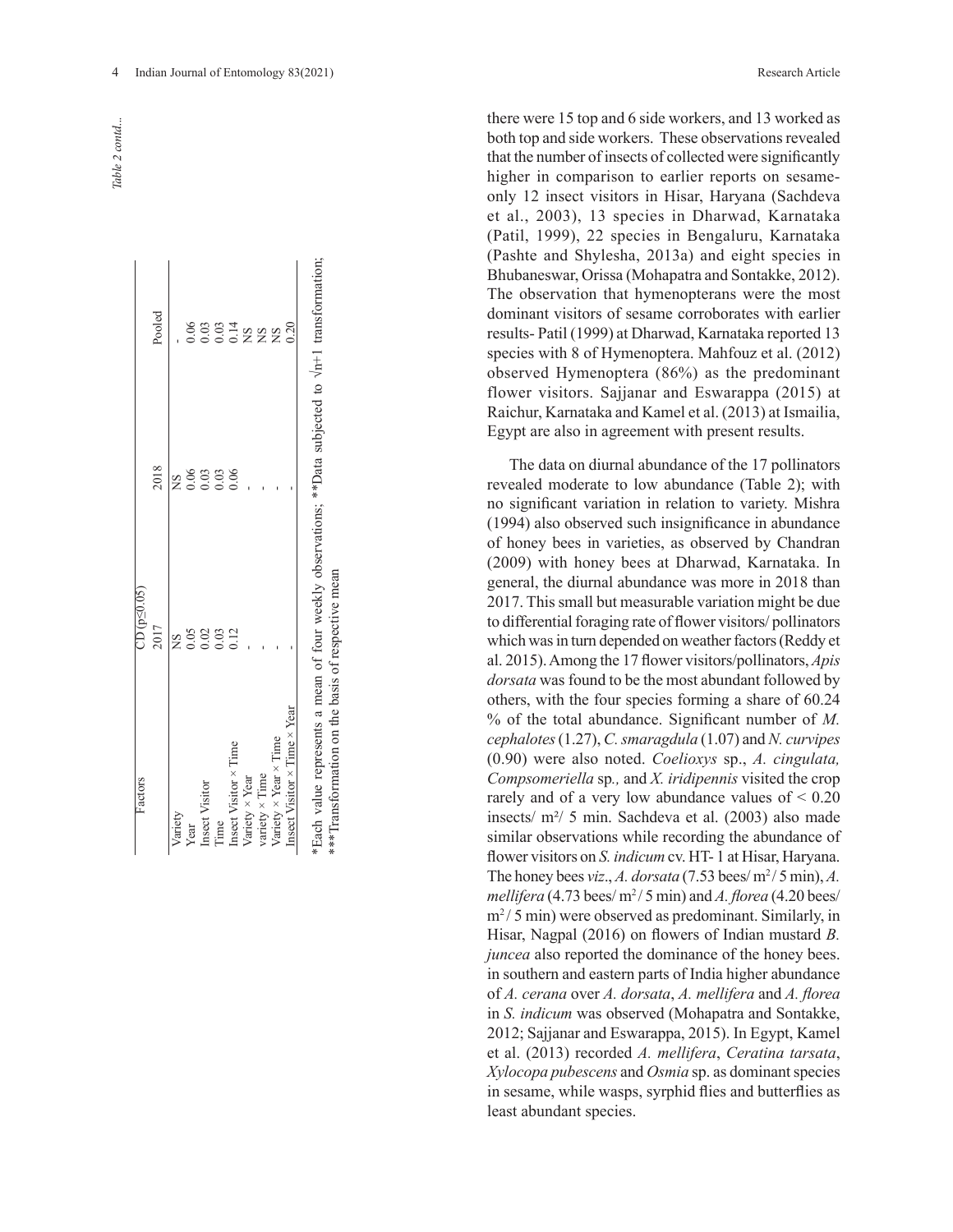*Table 2 contd...*Table 2 contd..

| Factors                                                                                                                                                          | $CD$ (p $\leq$ 0.05) |      |                       |
|------------------------------------------------------------------------------------------------------------------------------------------------------------------|----------------------|------|-----------------------|
|                                                                                                                                                                  | 2017                 | 2018 | Pooled                |
| Variety                                                                                                                                                          | 8<br>N               | SN   |                       |
| Year                                                                                                                                                             | 0.05                 |      | 0.06                  |
| Insect Visitor                                                                                                                                                   | 0.02                 | 0.03 | 00314<br>0014<br>2022 |
| Time                                                                                                                                                             | 0.03                 | 0.03 |                       |
| Insect Visitor × Time                                                                                                                                            | 0.12                 | 0.06 |                       |
| Variety × Year                                                                                                                                                   |                      |      |                       |
| variety $\times$ Time                                                                                                                                            |                      |      |                       |
| Variety $\times$ Year $\times$ Time                                                                                                                              |                      |      | S                     |
| Insect Visitor $\times$ Time $\times$ Year                                                                                                                       |                      |      | 0.20                  |
| *Each value represents a mean of four weekly observations; **Data subjected to $\sqrt{n+1}$ transformation;<br>***Transformation on the basis of respective mean |                      |      |                       |

there were 15 top and 6 side workers, and 13 worked as both top and side workers. These observations revealed that the number of insects of collected were significantly higher in comparison to earlier reports on sesameonly 12 insect visitors in Hisar, Haryana (Sachdeva et al., 2003), 13 species in Dharwad, Karnataka (Patil, 1999), 22 species in Bengaluru, Karnataka (Pashte and Shylesha, 2013a) and eight species in Bhubaneswar, Orissa (Mohapatra and Sontakke, 2012). The observation that hymenopterans were the most dominant visitors of sesame corroborates with earlier results- Patil (1999) at Dharwad, Karnataka reported 13 species with 8 of Hymenoptera. Mahfouz et al. (2012) observed Hymenoptera (86%) as the predominant flower visitors. Sajjanar and Eswarappa (2015) at Raichur, Karnataka and Kamel et al. (2013) at Ismailia, Egypt are also in agreement with present results.

The data on diurnal abundance of the 17 pollinators revealed moderate to low abundance (Table 2); with no significant variation in relation to variety. Mishra (1994) also observed such insignificance in abundance of honey bees in varieties, as observed by Chandran (2009) with honey bees at Dharwad, Karnataka. In general, the diurnal abundance was more in 2018 than 2017. This small but measurable variation might be due to differential foraging rate of flower visitors/ pollinators which was in turn depended on weather factors (Reddy et al. 2015). Among the 17 flower visitors/pollinators, *Apis dorsata* was found to be the most abundant followed by others, with the four species forming a share of 60.24 % of the total abundance. Significant number of *M. cephalotes* (1.27), *C. smaragdula* (1.07) and *N. curvipes*  (0.90) were also noted. *Coelioxys* sp., *A. cingulata, Compsomeriella* sp*.,* and *X. iridipennis* visited the crop rarely and of a very low abundance values of < 0.20 insects/ m²/ 5 min. Sachdeva et al. (2003) also made similar observations while recording the abundance of flower visitors on *S. indicum* cv. HT- 1 at Hisar, Haryana. The honey bees *viz*., *A. dorsata* (7.53 bees/ $m^2/5$  min), *A. mellifera* (4.73 bees/ m<sup>2</sup>/ 5 min) and *A. florea* (4.20 bees/ m<sup>2</sup>/ 5 min) were observed as predominant. Similarly, in Hisar, Nagpal (2016) on flowers of Indian mustard *B. juncea* also reported the dominance of the honey bees. in southern and eastern parts of India higher abundance of *A. cerana* over *A. dorsata*, *A. mellifera* and *A. florea*  in *S. indicum* was observed (Mohapatra and Sontakke, 2012; Sajjanar and Eswarappa, 2015). In Egypt, Kamel et al. (2013) recorded *A. mellifera*, *Ceratina tarsata*, *Xylocopa pubescens* and *Osmia* sp. as dominant species in sesame, while wasps, syrphid flies and butterflies as least abundant species.